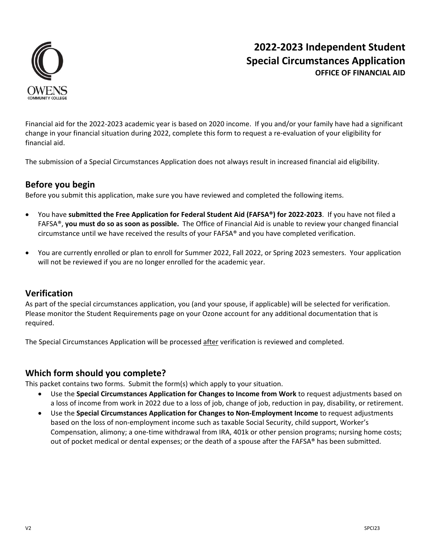

# **2022‐2023 Independent Student Special Circumstances Application OFFICE OF FINANCIAL AID**

Financial aid for the 2022‐2023 academic year is based on 2020 income. If you and/or your family have had a significant change in your financial situation during 2022, complete this form to request a re-evaluation of your eligibility for financial aid.

The submission of a Special Circumstances Application does not always result in increased financial aid eligibility.

## **Before you begin**

Before you submit this application, make sure you have reviewed and completed the following items.

- You have **submitted the Free Application for Federal Student Aid (FAFSA®) for 2022‐2023**. If you have not filed a FAFSA®, **you must do so as soon as possible.** The Office of Financial Aid is unable to review your changed financial circumstance until we have received the results of your FAFSA® and you have completed verification.
- You are currently enrolled or plan to enroll for Summer 2022, Fall 2022, or Spring 2023 semesters. Your application will not be reviewed if you are no longer enrolled for the academic year.

## **Verification**

As part of the special circumstances application, you (and your spouse, if applicable) will be selected for verification. Please monitor the Student Requirements page on your Ozone account for any additional documentation that is required.

The Special Circumstances Application will be processed after verification is reviewed and completed.

## **Which form should you complete?**

This packet contains two forms. Submit the form(s) which apply to your situation.

- Use the **Special Circumstances Application for Changes to Income from Work** to request adjustments based on a loss of income from work in 2022 due to a loss of job, change of job, reduction in pay, disability, or retirement.
- Use the **Special Circumstances Application for Changes to Non‐Employment Income** to request adjustments based on the loss of non‐employment income such as taxable Social Security, child support, Worker's Compensation, alimony; a one‐time withdrawal from IRA, 401k or other pension programs; nursing home costs; out of pocket medical or dental expenses; or the death of a spouse after the FAFSA® has been submitted.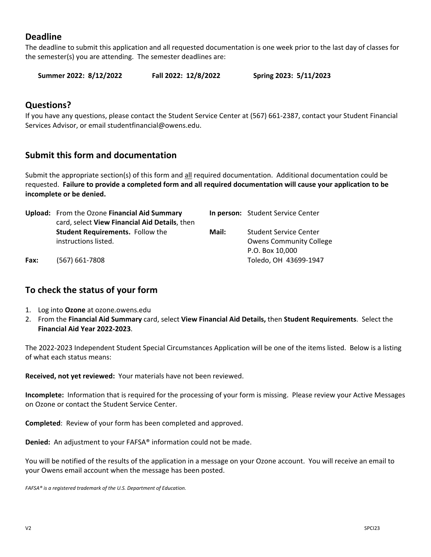## **Deadline**

The deadline to submit this application and all requested documentation is one week prior to the last day of classes for the semester(s) you are attending. The semester deadlines are:

**Summer 2022: 8/12/2022 Fall 2022: 12/8/2022 Spring 2023: 5/11/2023** 

### **Questions?**

If you have any questions, please contact the Student Service Center at (567) 661‐2387, contact your Student Financial Services Advisor, or email studentfinancial@owens.edu.

## **Submit this form and documentation**

Submit the appropriate section(s) of this form and all required documentation. Additional documentation could be requested. **Failure to provide a completed form and all required documentation will cause your application to be incomplete or be denied.**

|      | Upload: From the Ozone Financial Aid Summary  |       | In person: Student Service Center |
|------|-----------------------------------------------|-------|-----------------------------------|
|      | card, select View Financial Aid Details, then |       |                                   |
|      | <b>Student Requirements.</b> Follow the       | Mail: | <b>Student Service Center</b>     |
|      | instructions listed.                          |       | <b>Owens Community College</b>    |
|      |                                               |       | P.O. Box 10,000                   |
| Fax: | $(567) 661 - 7808$                            |       | Toledo, OH 43699-1947             |

## **To check the status of your form**

- 1. Log into **Ozone** at ozone.owens.edu
- 2. From the **Financial Aid Summary** card, select **View Financial Aid Details,** then **Student Requirements**. Select the **Financial Aid Year 2022‐2023**.

The 2022‐2023 Independent Student Special Circumstances Application will be one of the items listed. Below is a listing of what each status means:

**Received, not yet reviewed:** Your materials have not been reviewed.

**Incomplete:** Information that is required for the processing of your form is missing. Please review your Active Messages on Ozone or contact the Student Service Center.

**Completed**: Review of your form has been completed and approved.

**Denied:** An adjustment to your FAFSA® information could not be made.

You will be notified of the results of the application in a message on your Ozone account. You will receive an email to your Owens email account when the message has been posted.

FAFSA® is a registered trademark of the U.S. Department of Education.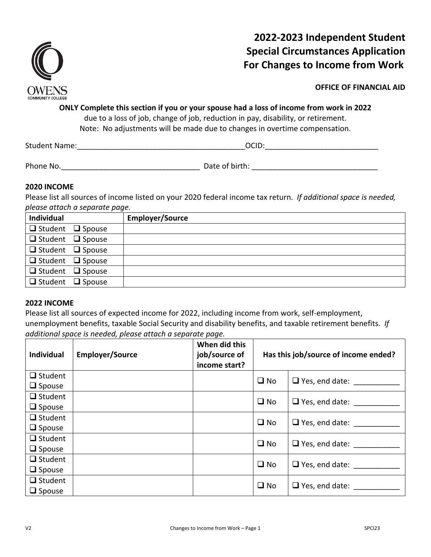

# **2022‐2023 Independent Student Special Circumstances Application For Changes to Income from Work**

**OFFICE OF FINANCIAL AID** 

**ONLY Complete this section if you or your spouse had a loss of income from work in 2022**  due to a loss of job, change of job, reduction in pay, disability, or retirement.

Note: No adjustments will be made due to changes in overtime compensation.

Student Name: The Communication of the Communication of the Communication of the Communication of the Communication of the Communication of the Communication of the Communication of the Communication of the Communication o

Phone No.\_\_\_\_\_\_\_\_\_\_\_\_\_\_\_\_\_\_\_\_\_\_\_\_\_\_\_\_\_\_\_\_\_ Date of birth: \_\_\_\_\_\_\_\_\_\_\_\_\_\_\_\_\_\_\_\_\_\_\_\_\_\_\_\_\_\_

### **2020 INCOME**

Please list all sources of income listed on your 2020 federal income tax return. *If additional space is needed, please attach a separate page.*

| Individual                   | <b>Employer/Source</b> |
|------------------------------|------------------------|
| $\Box$ Student $\Box$ Spouse |                        |
| $\Box$ Student $\Box$ Spouse |                        |
| $\Box$ Student $\Box$ Spouse |                        |
| $\Box$ Student $\Box$ Spouse |                        |
| $\Box$ Student $\Box$ Spouse |                        |
| $\Box$ Student $\Box$ Spouse |                        |

### **2022 INCOME**

Please list all sources of expected income for 2022, including income from work, self‐employment, unemployment benefits, taxable Social Security and disability benefits, and taxable retirement benefits. *If additional space is needed, please attach a separate page.* 

| <b>Individual</b> | <b>Employer/Source</b> | When did this<br>job/source of<br>income start? | Has this job/source of income ended? |                       |  |
|-------------------|------------------------|-------------------------------------------------|--------------------------------------|-----------------------|--|
| $\Box$ Student    |                        |                                                 | $\square$ No                         | $\Box$ Yes, end date: |  |
| $\Box$ Spouse     |                        |                                                 |                                      |                       |  |
| $\Box$ Student    |                        |                                                 | $\square$ No                         | $\Box$ Yes, end date: |  |
| $\Box$ Spouse     |                        |                                                 |                                      |                       |  |
| $\Box$ Student    |                        |                                                 | $\square$ No                         | $\Box$ Yes, end date: |  |
| $\Box$ Spouse     |                        |                                                 |                                      |                       |  |
| $\Box$ Student    |                        |                                                 | $\square$ No                         | $\Box$ Yes, end date: |  |
| $\Box$ Spouse     |                        |                                                 |                                      |                       |  |
| $\Box$ Student    |                        |                                                 | $\square$ No                         | $\Box$ Yes, end date: |  |
| $\Box$ Spouse     |                        |                                                 |                                      |                       |  |
| $\Box$ Student    |                        |                                                 | $\square$ No                         |                       |  |
| $\Box$ Spouse     |                        |                                                 |                                      | $\Box$ Yes, end date: |  |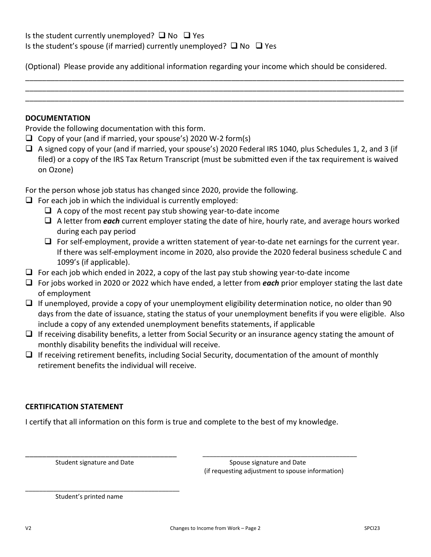(Optional) Please provide any additional information regarding your income which should be considered.

\_\_\_\_\_\_\_\_\_\_\_\_\_\_\_\_\_\_\_\_\_\_\_\_\_\_\_\_\_\_\_\_\_\_\_\_\_\_\_\_\_\_\_\_\_\_\_\_\_\_\_\_\_\_\_\_\_\_\_\_\_\_\_\_\_\_\_\_\_\_\_\_\_\_\_\_\_\_\_\_\_\_\_\_\_\_\_\_\_\_ \_\_\_\_\_\_\_\_\_\_\_\_\_\_\_\_\_\_\_\_\_\_\_\_\_\_\_\_\_\_\_\_\_\_\_\_\_\_\_\_\_\_\_\_\_\_\_\_\_\_\_\_\_\_\_\_\_\_\_\_\_\_\_\_\_\_\_\_\_\_\_\_\_\_\_\_\_\_\_\_\_\_\_\_\_\_\_\_\_\_ \_\_\_\_\_\_\_\_\_\_\_\_\_\_\_\_\_\_\_\_\_\_\_\_\_\_\_\_\_\_\_\_\_\_\_\_\_\_\_\_\_\_\_\_\_\_\_\_\_\_\_\_\_\_\_\_\_\_\_\_\_\_\_\_\_\_\_\_\_\_\_\_\_\_\_\_\_\_\_\_\_\_\_\_\_\_\_\_\_\_

#### **DOCUMENTATION**

Provide the following documentation with this form.

- $\Box$  Copy of your (and if married, your spouse's) 2020 W-2 form(s)
- $\Box$  A signed copy of your (and if married, your spouse's) 2020 Federal IRS 1040, plus Schedules 1, 2, and 3 (if filed) or a copy of the IRS Tax Return Transcript (must be submitted even if the tax requirement is waived on Ozone)

For the person whose job status has changed since 2020, provide the following.

- $\Box$  For each job in which the individual is currently employed:
	- $\Box$  A copy of the most recent pay stub showing year-to-date income
	- A letter from *each* current employer stating the date of hire, hourly rate, and average hours worked during each pay period
	- $\Box$  For self-employment, provide a written statement of year-to-date net earnings for the current year. If there was self‐employment income in 2020, also provide the 2020 federal business schedule C and 1099's (if applicable).
- $\Box$  For each job which ended in 2022, a copy of the last pay stub showing year-to-date income
- For jobs worked in 2020 or 2022 which have ended, a letter from *each* prior employer stating the last date of employment
- $\Box$  If unemployed, provide a copy of your unemployment eligibility determination notice, no older than 90 days from the date of issuance, stating the status of your unemployment benefits if you were eligible. Also include a copy of any extended unemployment benefits statements, if applicable
- $\Box$  If receiving disability benefits, a letter from Social Security or an insurance agency stating the amount of monthly disability benefits the individual will receive.
- $\Box$  If receiving retirement benefits, including Social Security, documentation of the amount of monthly retirement benefits the individual will receive.

#### **CERTIFICATION STATEMENT**

I certify that all information on this form is true and complete to the best of my knowledge. 

\_\_\_\_\_\_\_\_\_\_\_\_\_\_\_\_\_\_\_\_\_\_\_\_\_\_\_\_\_\_\_\_\_\_\_\_ \_\_\_\_\_\_\_\_\_\_\_\_\_\_\_\_\_\_\_\_\_\_\_\_\_\_\_\_\_\_\_\_\_\_\_\_\_\_\_\_\_\_\_\_

\_\_\_\_\_\_\_\_\_\_\_\_\_\_\_\_\_\_\_\_\_\_\_\_\_\_\_\_\_\_\_\_\_\_\_\_\_\_\_\_\_\_\_\_

Student signature and Date **Student signature and Date Spouse signature and Date** (if requesting adjustment to spouse information)

Student's printed name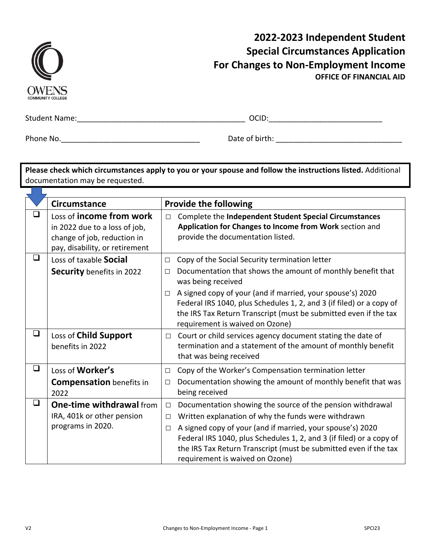| <b>COMMUNITY COLLEGE</b> |
|--------------------------|

# **2022‐2023 Independent Student Special Circumstances Application For Changes to Non‐Employment Income OFFICE OF FINANCIAL AID**

 $\mathcal{L}(\mathcal{A})$ 

Student Name:\_\_\_\_\_\_\_\_\_\_\_\_\_\_\_\_\_\_\_\_\_\_\_\_\_\_\_\_\_\_\_\_\_\_\_\_\_\_\_\_ OCID:\_\_\_\_\_\_\_\_\_\_\_\_\_\_\_\_\_\_\_\_\_\_\_\_\_\_\_

Phone No.\_\_\_\_\_\_\_\_\_\_\_\_\_\_\_\_\_\_\_\_\_\_\_\_\_\_\_\_\_\_\_\_\_ Date of birth: \_\_\_\_\_\_\_\_\_\_\_\_\_\_\_\_\_\_\_\_\_\_\_\_\_\_\_\_\_\_

**Please check which circumstances apply to you or your spouse and follow the instructions listed.** Additional documentation may be requested.

|        | <b>Circumstance</b>                                                                                                        |                            | <b>Provide the following</b>                                                                                                                                                                                                                                                                                                                                   |
|--------|----------------------------------------------------------------------------------------------------------------------------|----------------------------|----------------------------------------------------------------------------------------------------------------------------------------------------------------------------------------------------------------------------------------------------------------------------------------------------------------------------------------------------------------|
| ப      | Loss of income from work<br>in 2022 due to a loss of job,<br>change of job, reduction in<br>pay, disability, or retirement | $\Box$                     | Complete the Independent Student Special Circumstances<br>Application for Changes to Income from Work section and<br>provide the documentation listed.                                                                                                                                                                                                         |
| ❏      | Loss of taxable Social<br><b>Security</b> benefits in 2022                                                                 | $\Box$<br>$\Box$           | Copy of the Social Security termination letter<br>Documentation that shows the amount of monthly benefit that<br>was being received                                                                                                                                                                                                                            |
|        |                                                                                                                            | $\Box$                     | A signed copy of your (and if married, your spouse's) 2020<br>Federal IRS 1040, plus Schedules 1, 2, and 3 (if filed) or a copy of<br>the IRS Tax Return Transcript (must be submitted even if the tax<br>requirement is waived on Ozone)                                                                                                                      |
| $\Box$ | Loss of Child Support<br>benefits in 2022                                                                                  | $\Box$                     | Court or child services agency document stating the date of<br>termination and a statement of the amount of monthly benefit<br>that was being received                                                                                                                                                                                                         |
| $\Box$ | Loss of Worker's<br><b>Compensation</b> benefits in<br>2022                                                                | $\Box$<br>$\Box$           | Copy of the Worker's Compensation termination letter<br>Documentation showing the amount of monthly benefit that was<br>being received                                                                                                                                                                                                                         |
| ❏      | <b>One-time withdrawal from</b><br>IRA, 401k or other pension<br>programs in 2020.                                         | $\Box$<br>$\Box$<br>$\Box$ | Documentation showing the source of the pension withdrawal<br>Written explanation of why the funds were withdrawn<br>A signed copy of your (and if married, your spouse's) 2020<br>Federal IRS 1040, plus Schedules 1, 2, and 3 (if filed) or a copy of<br>the IRS Tax Return Transcript (must be submitted even if the tax<br>requirement is waived on Ozone) |